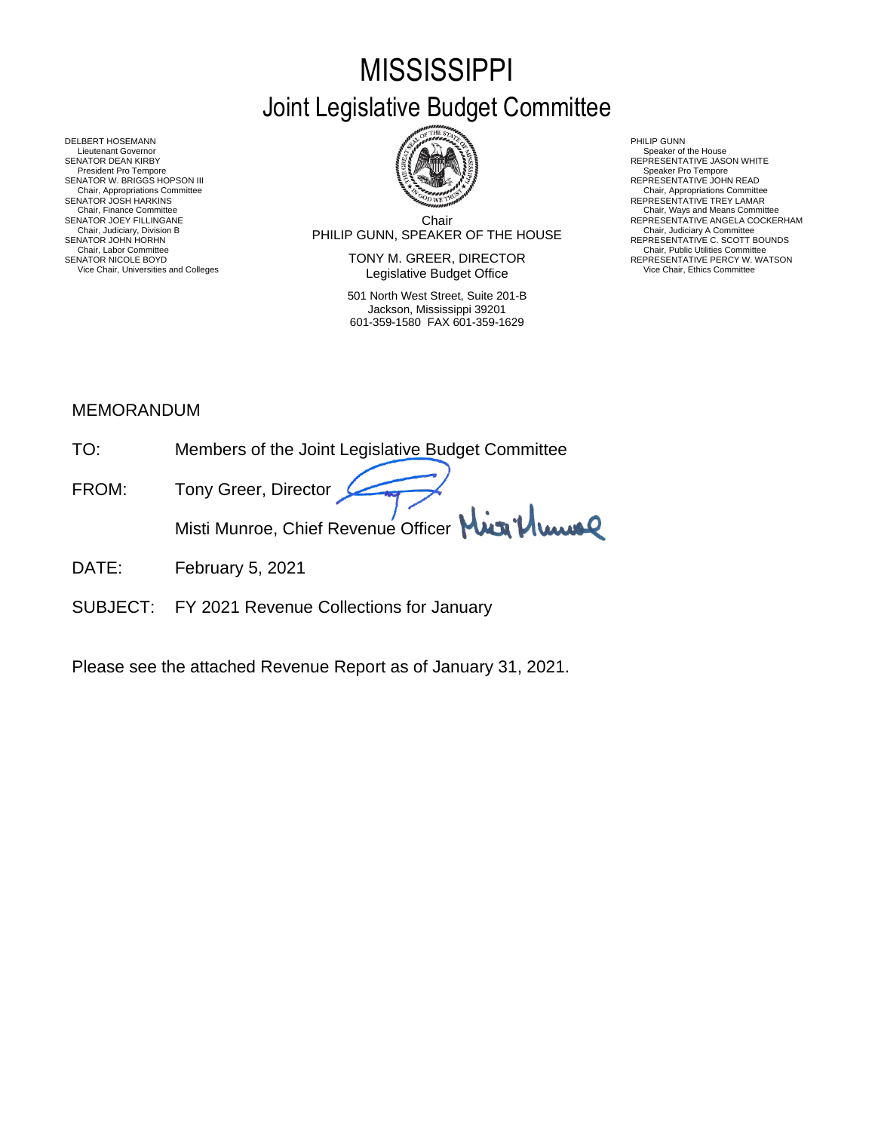# **MISSISSIPPI** Joint Legislative Budget Committee



Chair Chair, Judiciary, Division B<br>SENATOR JOHN HORHN BOUNDS SENATOR JOHN HORHN BOUNDS SENATOR JOEY FILLINGANE SERES ANGELA COCKERHAM THE CHILING CHILING CHILING CONFERENTATIVE ANGELA COCKERHAM CHA<br>Chair, Judiciary, Division B

SENATOR NICOLE BOYD **SENATOR TOWARD SENATOR SENATOR REPRESENTATIVE PERCY W. WATSON** Vice Chair, Universities and Colleges **Network Colleges and Colleget Colleget Colleget Office** Mair, Ethics Committee

> 501 North West Street, Suite 201-B Jackson, Mississippi 39201 601-359-1580 FAX 601-359-1629

- 
- 
- Chair, Appropriations Committee<br>REPRESENTATIVE TREY LAMAR
- 
- 

DELBERT HOSEMANN PHILIP GUNN<br>Lieutenant Governor Speaker of Speaker of Speaker of Speaker of Speaker of Speaker of Speaker of Speaker of Speaker of Lieutenant Governor Speaker of the House (SACIST Speaker of the House Speaker of the House Speaker of the House<br>SPINTOR DEAN KIRRY SPEAKER SPEAKER SPEAKER SPEAKER SPEAKER SPEAKER SPEAKER SPEAKER SPEAKER SPEAKER SPEAKER SPE SENATOR DEAN KIRBY REPRESENTATIVE JASON WHITE President Pro Tempore Speaker Pro Tempore SENATOR W. BRIGGS HOPSON III READ AND READ AND REPRESENTATIVE JOHN READ Chair, Appropriations Committee<br>SENATOR JOSH HARKINS<br>Chair, Finance Committee Chair, Finance Committee Chair, Ways and Means Committee Chair, Ways and Means Committee Chair, Ways and Means Committee Chair Chair Chair Chair Chair Chair Chair Chair Chair Chair Chair Chair Chair Chair Chair Chair Chair Chair, Lucines Chair, Lucines Chair, Lucines Chair, Lucines Chair, Lucines Chair, Lucines Chair, Lucines Chair, Lucines Chair, Lucines Chair, Lucines Chair, Lucines Chair, Lucines Chair, Lucines Chair, Lucines Chair, Lucin

### MEMORANDUM

- TO: Members of the Joint Legislative Budget Committee
- FROM: Tony Greer, Director Misti Munroe, Chief Revenue Officer Mun<sup>1</sup>/ Www
- DATE: February 5, 2021
- SUBJECT: FY 2021 Revenue Collections for January

Please see the attached Revenue Report as of January 31, 2021.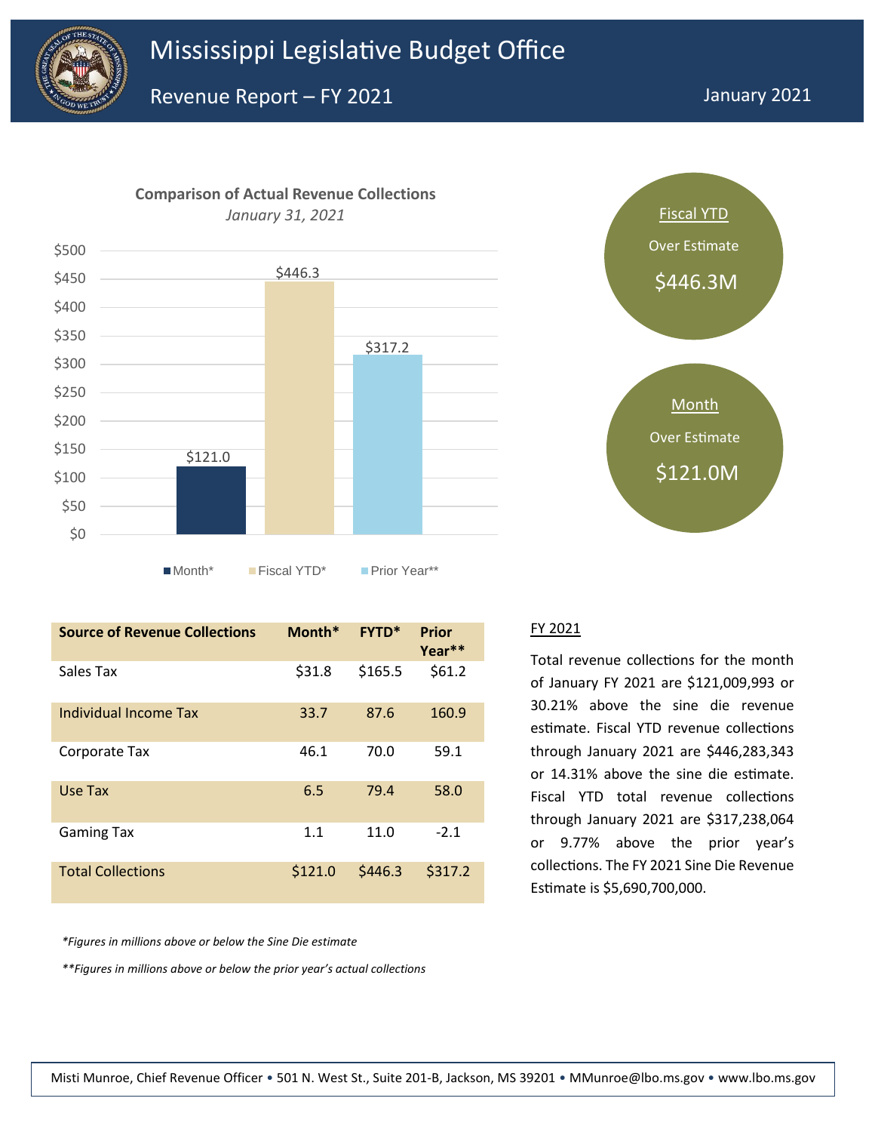





| <b>Source of Revenue Collections</b> | Month*  | <b>FYTD*</b> | Prior<br>Year** |
|--------------------------------------|---------|--------------|-----------------|
| Sales Tax                            | \$31.8  | \$165.5      | \$61.2          |
| Individual Income Tax                | 33.7    | 87.6         | 160.9           |
| Corporate Tax                        | 46.1    | 70.0         | 59.1            |
| Use Tax                              | 6.5     | 79.4         | 58.0            |
| <b>Gaming Tax</b>                    | 1.1     | 11.0         | $-2.1$          |
| <b>Total Collections</b>             | \$121.0 | \$446.3      | \$317.2         |

*\*Figures in millions above or below the Sine Die estimate*

*\*\*Figures in millions above or below the prior year's actual collections*

#### FY 2021

Total revenue collections for the month of January FY 2021 are \$121,009,993 or 30.21% above the sine die revenue estimate. Fiscal YTD revenue collections through January 2021 are \$446,283,343 or 14.31% above the sine die estimate. Fiscal YTD total revenue collections through January 2021 are \$317,238,064 or 9.77% above the prior year's collections. The FY 2021 Sine Die Revenue Estimate is \$5,690,700,000.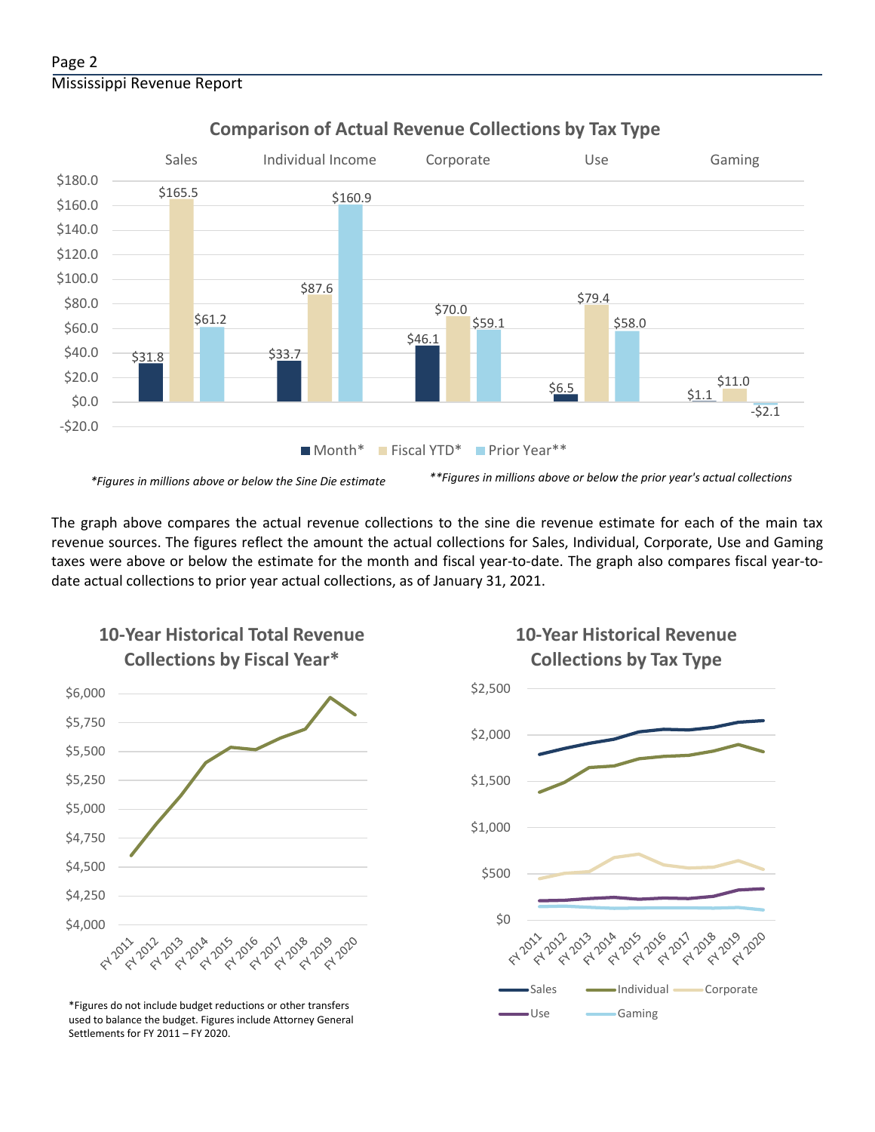#### Page 2 Mississippi Revenue Report



# **Comparison of Actual Revenue Collections by Tax Type**

The graph above compares the actual revenue collections to the sine die revenue estimate for each of the main tax revenue sources. The figures reflect the amount the actual collections for Sales, Individual, Corporate, Use and Gaming taxes were above or below the estimate for the month and fiscal year-to-date. The graph also compares fiscal year-todate actual collections to prior year actual collections, as of January 31, 2021.



**10-Year Historical Total Revenue** 

Use Gaming \*Figures do not include budget reductions or other transfers used to balance the budget. Figures include Attorney General Settlements for FY 2011 – FY 2020.

# **10-Year Historical Revenue Collections by Tax Type**

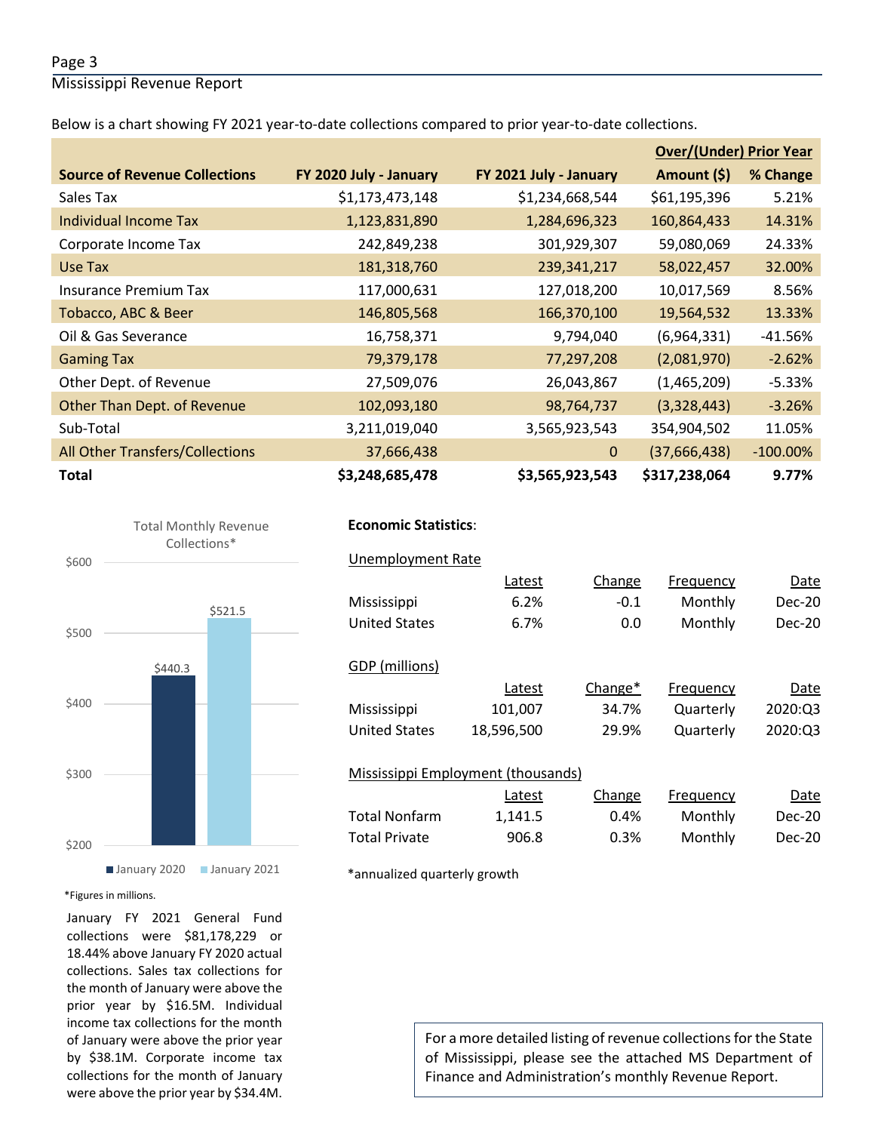#### Page 3

Mississippi Revenue Report

Below is a chart showing FY 2021 year-to-date collections compared to prior year-to-date collections.

|                                        |                        |                        | <b>Over/(Under) Prior Year</b> |             |  |
|----------------------------------------|------------------------|------------------------|--------------------------------|-------------|--|
| <b>Source of Revenue Collections</b>   | FY 2020 July - January | FY 2021 July - January | Amount (\$)                    | % Change    |  |
| Sales Tax                              | \$1,173,473,148        | \$1,234,668,544        | \$61,195,396                   | 5.21%       |  |
| Individual Income Tax                  | 1,123,831,890          | 1,284,696,323          | 160,864,433                    | 14.31%      |  |
| Corporate Income Tax                   | 242,849,238            | 301,929,307            | 59,080,069                     | 24.33%      |  |
| Use Tax                                | 181,318,760            | 239,341,217            | 58,022,457                     | 32.00%      |  |
| <b>Insurance Premium Tax</b>           | 117,000,631            | 127,018,200            | 10,017,569                     | 8.56%       |  |
| Tobacco, ABC & Beer                    | 146,805,568            | 166,370,100            | 19,564,532                     | 13.33%      |  |
| Oil & Gas Severance                    | 16,758,371             | 9,794,040              | (6,964,331)                    | $-41.56%$   |  |
| <b>Gaming Tax</b>                      | 79,379,178             | 77,297,208             | (2,081,970)                    | $-2.62%$    |  |
| Other Dept. of Revenue                 | 27,509,076             | 26,043,867             | (1,465,209)                    | $-5.33%$    |  |
| Other Than Dept. of Revenue            | 102,093,180            | 98,764,737             | (3,328,443)                    | $-3.26%$    |  |
| Sub-Total                              | 3,211,019,040          | 3,565,923,543          | 354,904,502                    | 11.05%      |  |
| <b>All Other Transfers/Collections</b> | 37,666,438             | $\Omega$               | (37,666,438)                   | $-100.00\%$ |  |
| <b>Total</b>                           | \$3,248,685,478        | \$3,565,923,543        | \$317,238,064                  | 9.77%       |  |





\*Figures in millions.

January FY 2021 General Fund collections were \$81,178,229 or 18.44% above January FY 2020 actual collections. Sales tax collections for the month of January were above the prior year by \$16.5M. Individual income tax collections for the month of January were above the prior year by \$38.1M. Corporate income tax collections for the month of January were above the prior year by \$34.4M.

# **Economic Statistics**:  **Economic Statistics**:

| <b>Unemployment Rate</b>           |            |         |           |         |
|------------------------------------|------------|---------|-----------|---------|
|                                    | Latest     | Change  | Frequency | Date    |
| Mississippi                        | 6.2%       | $-0.1$  | Monthly   | Dec-20  |
| <b>United States</b>               | 6.7%       | 0.0     | Monthly   | Dec-20  |
|                                    |            |         |           |         |
| GDP (millions)                     |            |         |           |         |
|                                    | Latest     | Change* | Frequency | Date    |
| Mississippi                        | 101,007    | 34.7%   | Quarterly | 2020:03 |
| <b>United States</b>               | 18,596,500 | 29.9%   | Quarterly | 2020:Q3 |
|                                    |            |         |           |         |
| Mississippi Employment (thousands) |            |         |           |         |
|                                    | Latest     | Change  | Frequency | Date    |
| <b>Total Nonfarm</b>               | 1,141.5    | 0.4%    | Monthly   | Dec-20  |
| <b>Total Private</b>               | 906.8      | 0.3%    | Monthly   | Dec-20  |
|                                    |            |         |           |         |

\*annualized quarterly growth

For a more detailed listing of revenue collections for the State of Mississippi, please see the attached MS Department of Finance and Administration's monthly Revenue Report.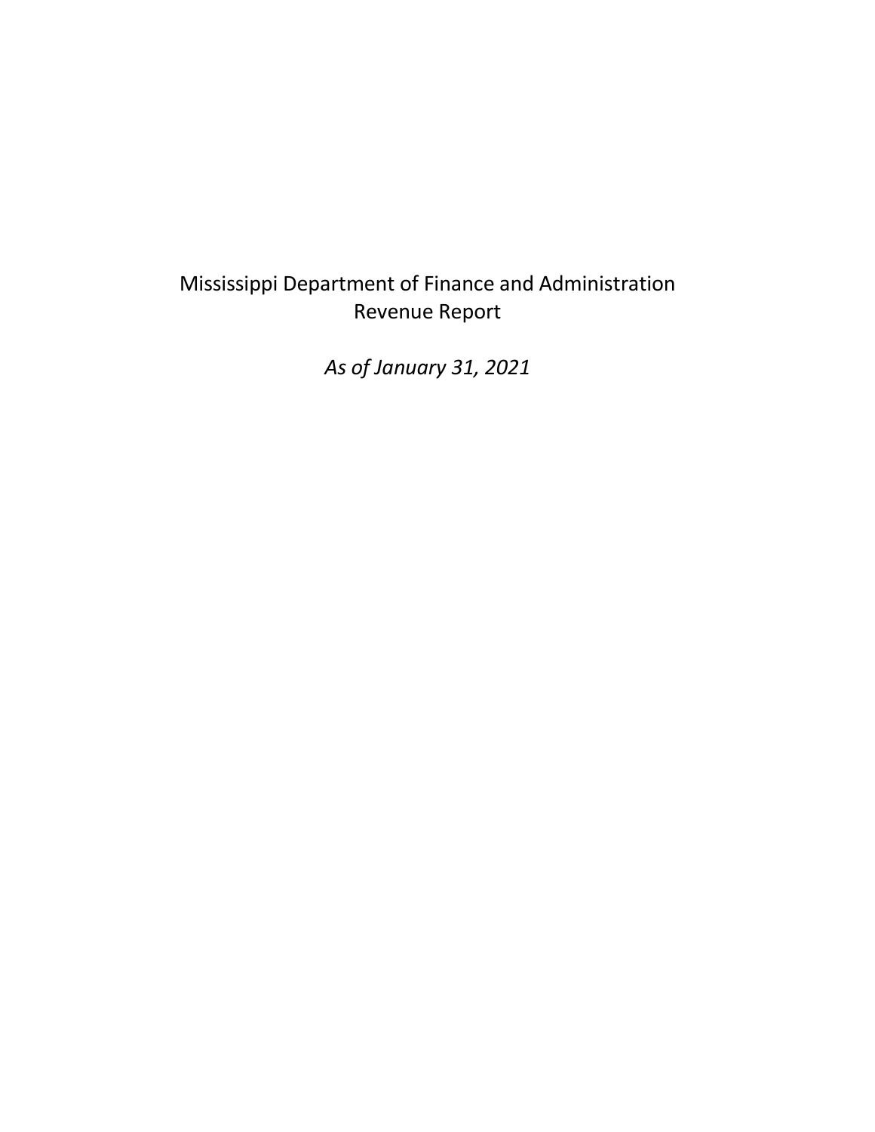# Mississippi Department of Finance and Administration Revenue Report

*As of January 31, 2021*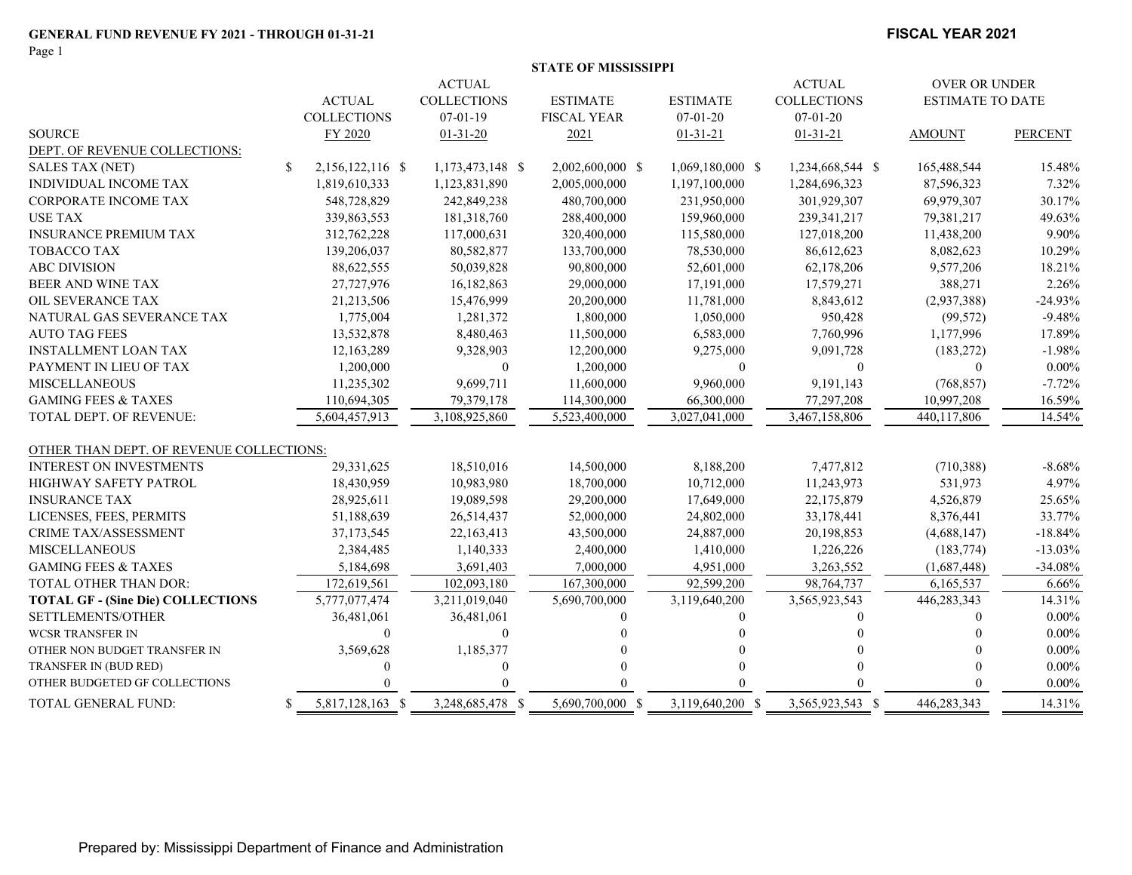Page 1

#### **FISCAL YEAR 2021**

|  |  |  | STATE OF MISSISSIPPI |
|--|--|--|----------------------|
|--|--|--|----------------------|

|                                          |                                  | <b>ACTUAL</b>      |                    |                  | <b>ACTUAL</b>      | OVER OR UNDER           |                |
|------------------------------------------|----------------------------------|--------------------|--------------------|------------------|--------------------|-------------------------|----------------|
|                                          | <b>ACTUAL</b>                    | <b>COLLECTIONS</b> | <b>ESTIMATE</b>    | <b>ESTIMATE</b>  | <b>COLLECTIONS</b> | <b>ESTIMATE TO DATE</b> |                |
|                                          | <b>COLLECTIONS</b>               | $07 - 01 - 19$     | <b>FISCAL YEAR</b> | $07 - 01 - 20$   | $07 - 01 - 20$     |                         |                |
| <b>SOURCE</b>                            | FY 2020                          | $01 - 31 - 20$     | 2021               | $01 - 31 - 21$   | $01 - 31 - 21$     | <b>AMOUNT</b>           | <b>PERCENT</b> |
| DEPT. OF REVENUE COLLECTIONS:            |                                  |                    |                    |                  |                    |                         |                |
| <b>SALES TAX (NET)</b>                   | $\mathbb{S}$<br>2,156,122,116 \$ | 1,173,473,148 \$   | 2,002,600,000 \$   | 1,069,180,000 \$ | 1,234,668,544 \$   | 165,488,544             | 15.48%         |
| INDIVIDUAL INCOME TAX                    | 1,819,610,333                    | 1,123,831,890      | 2,005,000,000      | 1,197,100,000    | 1,284,696,323      | 87,596,323              | 7.32%          |
| CORPORATE INCOME TAX                     | 548,728,829                      | 242,849,238        | 480,700,000        | 231,950,000      | 301,929,307        | 69,979,307              | 30.17%         |
| <b>USE TAX</b>                           | 339,863,553                      | 181,318,760        | 288,400,000        | 159,960,000      | 239, 341, 217      | 79,381,217              | 49.63%         |
| <b>INSURANCE PREMIUM TAX</b>             | 312,762,228                      | 117,000,631        | 320,400,000        | 115,580,000      | 127,018,200        | 11,438,200              | 9.90%          |
| <b>TOBACCO TAX</b>                       | 139,206,037                      | 80,582,877         | 133,700,000        | 78,530,000       | 86,612,623         | 8,082,623               | 10.29%         |
| <b>ABC DIVISION</b>                      | 88,622,555                       | 50,039,828         | 90,800,000         | 52,601,000       | 62,178,206         | 9,577,206               | 18.21%         |
| BEER AND WINE TAX                        | 27,727,976                       | 16,182,863         | 29,000,000         | 17,191,000       | 17,579,271         | 388,271                 | 2.26%          |
| OIL SEVERANCE TAX                        | 21,213,506                       | 15,476,999         | 20,200,000         | 11,781,000       | 8,843,612          | (2,937,388)             | $-24.93%$      |
| NATURAL GAS SEVERANCE TAX                | 1,775,004                        | 1,281,372          | 1,800,000          | 1,050,000        | 950,428            | (99, 572)               | $-9.48%$       |
| <b>AUTO TAG FEES</b>                     | 13,532,878                       | 8,480,463          | 11,500,000         | 6,583,000        | 7,760,996          | 1,177,996               | 17.89%         |
| <b>INSTALLMENT LOAN TAX</b>              | 12,163,289                       | 9,328,903          | 12,200,000         | 9,275,000        | 9,091,728          | (183, 272)              | $-1.98%$       |
| PAYMENT IN LIEU OF TAX                   | 1,200,000                        | $\mathbf{0}$       | 1,200,000          | $\theta$         | $\mathbf{0}$       | $\mathbf{0}$            | $0.00\%$       |
| <b>MISCELLANEOUS</b>                     | 11,235,302                       | 9,699,711          | 11,600,000         | 9,960,000        | 9,191,143          | (768, 857)              | $-7.72%$       |
| <b>GAMING FEES &amp; TAXES</b>           | 110,694,305                      | 79,379,178         | 114,300,000        | 66,300,000       | 77,297,208         | 10,997,208              | 16.59%         |
| TOTAL DEPT. OF REVENUE:                  | 5,604,457,913                    | 3,108,925,860      | 5,523,400,000      | 3,027,041,000    | 3,467,158,806      | 440,117,806             | 14.54%         |
| OTHER THAN DEPT. OF REVENUE COLLECTIONS: |                                  |                    |                    |                  |                    |                         |                |
| <b>INTEREST ON INVESTMENTS</b>           | 29,331,625                       | 18,510,016         | 14,500,000         | 8,188,200        | 7,477,812          | (710, 388)              | $-8.68%$       |
| HIGHWAY SAFETY PATROL                    | 18,430,959                       | 10,983,980         | 18,700,000         | 10,712,000       | 11,243,973         | 531,973                 | 4.97%          |
| <b>INSURANCE TAX</b>                     | 28,925,611                       | 19,089,598         | 29,200,000         | 17,649,000       | 22,175,879         | 4,526,879               | 25.65%         |
| LICENSES, FEES, PERMITS                  | 51,188,639                       | 26,514,437         | 52,000,000         | 24,802,000       | 33,178,441         | 8,376,441               | 33.77%         |
| <b>CRIME TAX/ASSESSMENT</b>              | 37,173,545                       | 22,163,413         | 43,500,000         | 24,887,000       | 20,198,853         | (4,688,147)             | $-18.84%$      |
| <b>MISCELLANEOUS</b>                     | 2,384,485                        | 1,140,333          | 2,400,000          | 1,410,000        | 1,226,226          | (183, 774)              | $-13.03%$      |
| <b>GAMING FEES &amp; TAXES</b>           | 5,184,698                        | 3,691,403          | 7,000,000          | 4,951,000        | 3,263,552          | (1,687,448)             | $-34.08%$      |
| TOTAL OTHER THAN DOR:                    | 172,619,561                      | 102,093,180        | 167,300,000        | 92,599,200       | 98,764,737         | 6,165,537               | 6.66%          |
| <b>TOTAL GF - (Sine Die) COLLECTIONS</b> | 5,777,077,474                    | 3,211,019,040      | 5,690,700,000      | 3,119,640,200    | 3,565,923,543      | 446,283,343             | 14.31%         |
| SETTLEMENTS/OTHER                        | 36,481,061                       | 36,481,061         |                    |                  | 0                  |                         | $0.00\%$       |
| <b>WCSR TRANSFER IN</b>                  | $\theta$                         | $\theta$           |                    |                  |                    |                         | $0.00\%$       |
| OTHER NON BUDGET TRANSFER IN             | 3,569,628                        | 1,185,377          |                    |                  |                    |                         | $0.00\%$       |
| TRANSFER IN (BUD RED)                    |                                  |                    |                    |                  |                    |                         | $0.00\%$       |
| OTHER BUDGETED GF COLLECTIONS            |                                  |                    |                    |                  |                    |                         | $0.00\%$       |
| TOTAL GENERAL FUND:                      | 5,817,128,163 \$<br>S            | 3,248,685,478 \$   | 5,690,700,000 \$   | 3,119,640,200 \$ | 3,565,923,543 \$   | 446,283,343             | 14.31%         |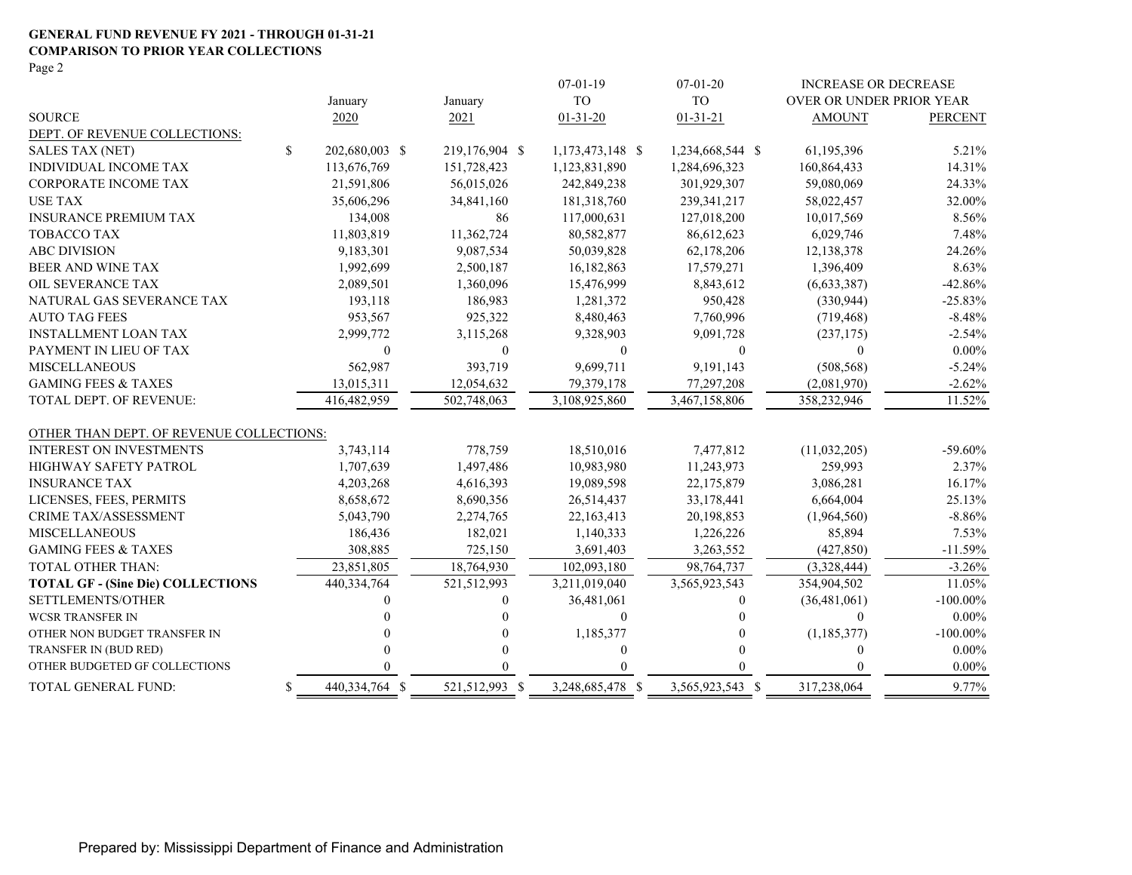#### **GENERAL FUND REVENUE FY 2021 - THROUGH 01-31-21 COMPARISON TO PRIOR YEAR COLLECTIONS**

Page 2

|                                          |                      |                | $07-01-19$       | $07 - 01 - 20$   | <b>INCREASE OR DECREASE</b> |                |
|------------------------------------------|----------------------|----------------|------------------|------------------|-----------------------------|----------------|
|                                          | January              | January        | <b>TO</b>        | <b>TO</b>        | OVER OR UNDER PRIOR YEAR    |                |
| <b>SOURCE</b>                            | 2020                 | 2021           | $01 - 31 - 20$   | $01 - 31 - 21$   | <b>AMOUNT</b>               | <b>PERCENT</b> |
| DEPT. OF REVENUE COLLECTIONS:            |                      |                |                  |                  |                             |                |
| <b>SALES TAX (NET)</b>                   | \$<br>202,680,003 \$ | 219,176,904 \$ | 1,173,473,148 \$ | 1,234,668,544 \$ | 61,195,396                  | 5.21%          |
| INDIVIDUAL INCOME TAX                    | 113,676,769          | 151,728,423    | 1,123,831,890    | 1,284,696,323    | 160,864,433                 | 14.31%         |
| CORPORATE INCOME TAX                     | 21,591,806           | 56,015,026     | 242,849,238      | 301,929,307      | 59,080,069                  | 24.33%         |
| <b>USE TAX</b>                           | 35,606,296           | 34,841,160     | 181,318,760      | 239,341,217      | 58,022,457                  | 32.00%         |
| <b>INSURANCE PREMIUM TAX</b>             | 134,008              | 86             | 117,000,631      | 127,018,200      | 10,017,569                  | 8.56%          |
| <b>TOBACCO TAX</b>                       | 11,803,819           | 11,362,724     | 80,582,877       | 86,612,623       | 6,029,746                   | 7.48%          |
| <b>ABC DIVISION</b>                      | 9,183,301            | 9,087,534      | 50,039,828       | 62,178,206       | 12,138,378                  | 24.26%         |
| BEER AND WINE TAX                        | 1,992,699            | 2,500,187      | 16,182,863       | 17,579,271       | 1,396,409                   | 8.63%          |
| OIL SEVERANCE TAX                        | 2,089,501            | 1,360,096      | 15,476,999       | 8,843,612        | (6,633,387)                 | $-42.86%$      |
| NATURAL GAS SEVERANCE TAX                | 193,118              | 186,983        | 1,281,372        | 950,428          | (330, 944)                  | $-25.83%$      |
| <b>AUTO TAG FEES</b>                     | 953,567              | 925,322        | 8,480,463        | 7,760,996        | (719, 468)                  | $-8.48%$       |
| <b>INSTALLMENT LOAN TAX</b>              | 2,999,772            | 3,115,268      | 9,328,903        | 9,091,728        | (237, 175)                  | $-2.54%$       |
| PAYMENT IN LIEU OF TAX                   | $\theta$             | $\Omega$       | $\theta$         | $\theta$         | $\Omega$                    | $0.00\%$       |
| <b>MISCELLANEOUS</b>                     | 562,987              | 393,719        | 9,699,711        | 9,191,143        | (508, 568)                  | $-5.24%$       |
| <b>GAMING FEES &amp; TAXES</b>           | 13,015,311           | 12,054,632     | 79,379,178       | 77,297,208       | (2,081,970)                 | $-2.62%$       |
| TOTAL DEPT. OF REVENUE:                  | 416,482,959          | 502,748,063    | 3,108,925,860    | 3,467,158,806    | 358,232,946                 | 11.52%         |
| OTHER THAN DEPT. OF REVENUE COLLECTIONS: |                      |                |                  |                  |                             |                |
| <b>INTEREST ON INVESTMENTS</b>           | 3,743,114            | 778,759        | 18,510,016       | 7,477,812        | (11,032,205)                | $-59.60\%$     |
| <b>HIGHWAY SAFETY PATROL</b>             | 1,707,639            | 1,497,486      | 10,983,980       | 11,243,973       | 259,993                     | 2.37%          |
| <b>INSURANCE TAX</b>                     | 4,203,268            | 4,616,393      | 19,089,598       | 22,175,879       | 3,086,281                   | 16.17%         |
| LICENSES, FEES, PERMITS                  | 8,658,672            | 8,690,356      | 26,514,437       | 33,178,441       | 6,664,004                   | 25.13%         |
| CRIME TAX/ASSESSMENT                     | 5,043,790            | 2,274,765      | 22,163,413       | 20,198,853       | (1,964,560)                 | $-8.86%$       |
| <b>MISCELLANEOUS</b>                     | 186,436              | 182,021        | 1,140,333        | 1,226,226        | 85,894                      | 7.53%          |
| <b>GAMING FEES &amp; TAXES</b>           | 308,885              | 725,150        | 3,691,403        | 3,263,552        | (427, 850)                  | $-11.59%$      |
| <b>TOTAL OTHER THAN:</b>                 | 23,851,805           | 18,764,930     | 102,093,180      | 98,764,737       | (3,328,444)                 | $-3.26%$       |
| <b>TOTAL GF - (Sine Die) COLLECTIONS</b> | 440,334,764          | 521,512,993    | 3,211,019,040    | 3,565,923,543    | 354,904,502                 | 11.05%         |
| SETTLEMENTS/OTHER                        |                      | $\Omega$       | 36,481,061       | 0                | (36, 481, 061)              | $-100.00\%$    |
| WCSR TRANSFER IN                         |                      |                | $\mathbf{0}$     |                  | $\Omega$                    | $0.00\%$       |
| OTHER NON BUDGET TRANSFER IN             |                      | $\Omega$       | 1,185,377        |                  | (1, 185, 377)               | $-100.00\%$    |
| TRANSFER IN (BUD RED)                    |                      | $\Omega$       | $\theta$         |                  | $\theta$                    | $0.00\%$       |
| OTHER BUDGETED GF COLLECTIONS            |                      | $\Omega$       |                  |                  | $\Omega$                    | $0.00\%$       |
| TOTAL GENERAL FUND:                      | \$<br>440,334,764 \$ | 521,512,993 \$ | 3,248,685,478 \$ | 3,565,923,543 \$ | 317,238,064                 | 9.77%          |